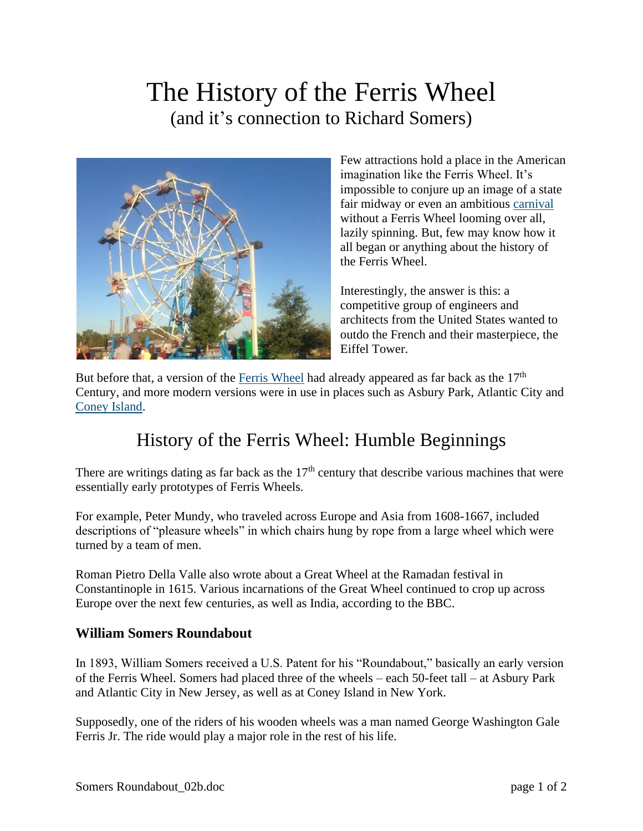## The History of the Ferris Wheel (and it's connection to Richard Somers)



Few attractions hold a place in the American imagination like the Ferris Wheel. It's impossible to conjure up an image of a state fair midway or even an ambitious [carnival](http://www.funcrewusa.com/central-florida-party-rentals/carnival-game-rentals/) without a Ferris Wheel looming over all, lazily spinning. But, few may know how it all began or anything about the history of the Ferris Wheel.

Interestingly, the answer is this: a competitive group of engineers and architects from the United States wanted to outdo the French and their masterpiece, the Eiffel Tower.

But before that, a version of the [Ferris Wheel](http://www.funcrewusa.com/portfolio/ferris-wheel/) had already appeared as far back as the 17<sup>th</sup> Century, and more modern versions were in use in places such as Asbury Park, Atlantic City and [Coney Island.](http://www.coneyisland.com/)

## History of the Ferris Wheel: Humble Beginnings

There are writings dating as far back as the  $17<sup>th</sup>$  century that describe various machines that were essentially early prototypes of Ferris Wheels.

For example, Peter Mundy, who traveled across Europe and Asia from 1608-1667, included descriptions of "pleasure wheels" in which chairs hung by rope from a large wheel which were turned by a team of men.

Roman Pietro Della Valle also wrote about a Great Wheel at the Ramadan festival in Constantinople in 1615. Various incarnations of the Great Wheel continued to crop up across Europe over the next few centuries, as well as India, according to the BBC.

## **William Somers Roundabout**

In 1893, William Somers received a U.S. Patent for his "Roundabout," basically an early version of the Ferris Wheel. Somers had placed three of the wheels – each 50-feet tall – at Asbury Park and Atlantic City in New Jersey, as well as at Coney Island in New York.

Supposedly, one of the riders of his wooden wheels was a man named George Washington Gale Ferris Jr. The ride would play a major role in the rest of his life.